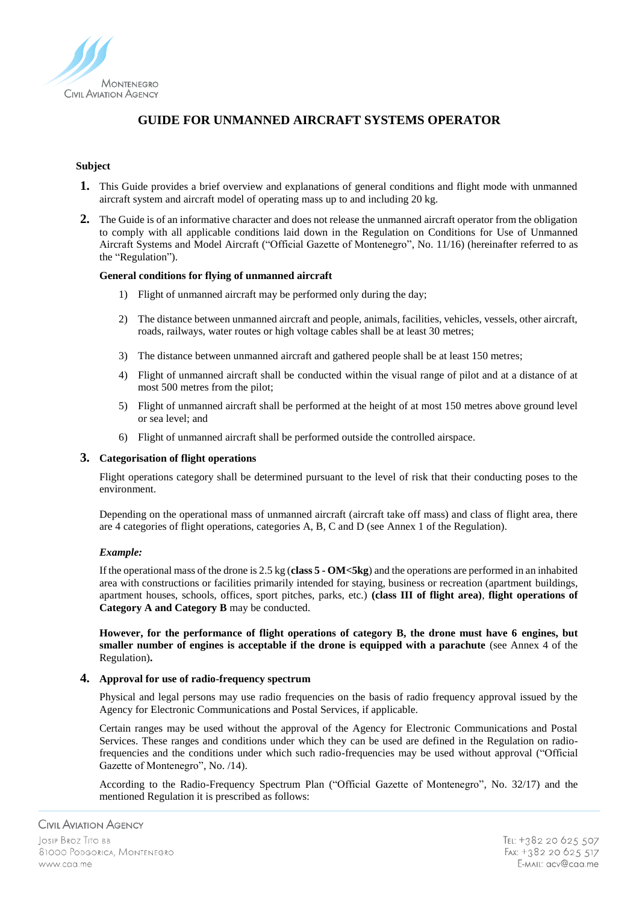

# **GUIDE FOR UNMANNED AIRCRAFT SYSTEMS OPERATOR**

## **Subject**

- **1.** This Guide provides a brief overview and explanations of general conditions and flight mode with unmanned aircraft system and aircraft model of operating mass up to and including 20 kg.
- **2.** The Guide is of an informative character and does not release the unmanned aircraft operator from the obligation to comply with all applicable conditions laid down in the Regulation on Conditions for Use of Unmanned Aircraft Systems and Model Aircraft ("Official Gazette of Montenegro", No. 11/16) (hereinafter referred to as the "Regulation").

#### **General conditions for flying of unmanned aircraft**

- 1) Flight of unmanned aircraft may be performed only during the day;
- 2) The distance between unmanned aircraft and people, animals, facilities, vehicles, vessels, other aircraft, roads, railways, water routes or high voltage cables shall be at least 30 metres;
- 3) The distance between unmanned aircraft and gathered people shall be at least 150 metres;
- 4) Flight of unmanned aircraft shall be conducted within the visual range of pilot and at a distance of at most 500 metres from the pilot;
- 5) Flight of unmanned aircraft shall be performed at the height of at most 150 metres above ground level or sea level; and
- 6) Flight of unmanned aircraft shall be performed outside the controlled airspace.

#### **3. Categorisation of flight operations**

Flight operations category shall be determined pursuant to the level of risk that their conducting poses to the environment.

Depending on the operational mass of unmanned aircraft (aircraft take off mass) and class of flight area, there are 4 categories of flight operations, categories A, B, C and D (see Annex 1 of the Regulation).

#### *Example:*

If the operational mass of the drone is 2.5 kg (**class 5 - OM<5kg**) and the operations are performed in an inhabited area with constructions or facilities primarily intended for staying, business or recreation (apartment buildings, apartment houses, schools, offices, sport pitches, parks, etc.) **(class III of flight area)**, **flight operations of Category A and Category B** may be conducted.

**However, for the performance of flight operations of category B, the drone must have 6 engines, but smaller number of engines is acceptable if the drone is equipped with a parachute** (see Annex 4 of the Regulation)**.**

#### **4. Approval for use of radio-frequency spectrum**

Physical and legal persons may use radio frequencies on the basis of radio frequency approval issued by the Agency for Electronic Communications and Postal Services, if applicable.

Certain ranges may be used without the approval of the Agency for Electronic Communications and Postal Services. These ranges and conditions under which they can be used are defined in the Regulation on radiofrequencies and the conditions under which such radio-frequencies may be used without approval ("Official Gazette of Montenegro", No. /14).

According to the Radio-Frequency Spectrum Plan ("Official Gazette of Montenegro", No. 32/17) and the mentioned Regulation it is prescribed as follows: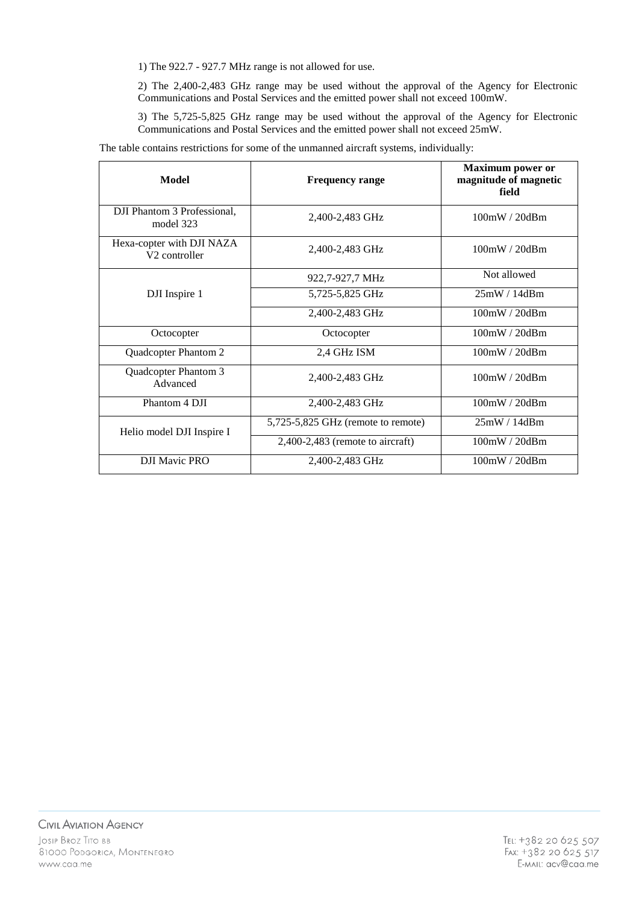1) The 922.7 - 927.7 MHz range is not allowed for use.

2) The 2,400-2,483 GHz range may be used without the approval of the Agency for Electronic Communications and Postal Services and the emitted power shall not exceed 100mW.

3) The 5,725-5,825 GHz range may be used without the approval of the Agency for Electronic Communications and Postal Services and the emitted power shall not exceed 25mW.

The table contains restrictions for some of the unmanned aircraft systems, individually:

| Model                                                  | <b>Frequency range</b>             | <b>Maximum</b> power or<br>magnitude of magnetic<br>field |
|--------------------------------------------------------|------------------------------------|-----------------------------------------------------------|
| DJI Phantom 3 Professional,<br>model 323               | 2,400-2,483 GHz                    | 100mW/20dBm                                               |
| Hexa-copter with DJI NAZA<br>V <sub>2</sub> controller | 2,400-2,483 GHz                    | 100mW/20dBm                                               |
|                                                        | 922,7-927,7 MHz                    | Not allowed                                               |
| DJI Inspire 1                                          | 5,725-5,825 GHz                    | 25mW/14dBm                                                |
|                                                        | 2,400-2,483 GHz                    | 100mW/20dBm                                               |
| Octocopter                                             | Octocopter                         | 100mW/20dBm                                               |
| Quadcopter Phantom 2                                   | 2,4 GHz ISM                        | 100mW/20dBm                                               |
| Quadcopter Phantom 3<br>Advanced                       | 2,400-2,483 GHz                    | 100mW/20dBm                                               |
| Phantom 4 DJI                                          | 2,400-2,483 GHz                    | 100mW / 20dBm                                             |
| Helio model DJI Inspire I                              | 5,725-5,825 GHz (remote to remote) | 25mW/14dBm                                                |
|                                                        | $2,400-2,483$ (remote to aircraft) | 100mW/20dBm                                               |
| <b>DJI Mavic PRO</b>                                   | 2,400-2,483 GHz                    | 100mW/20dBm                                               |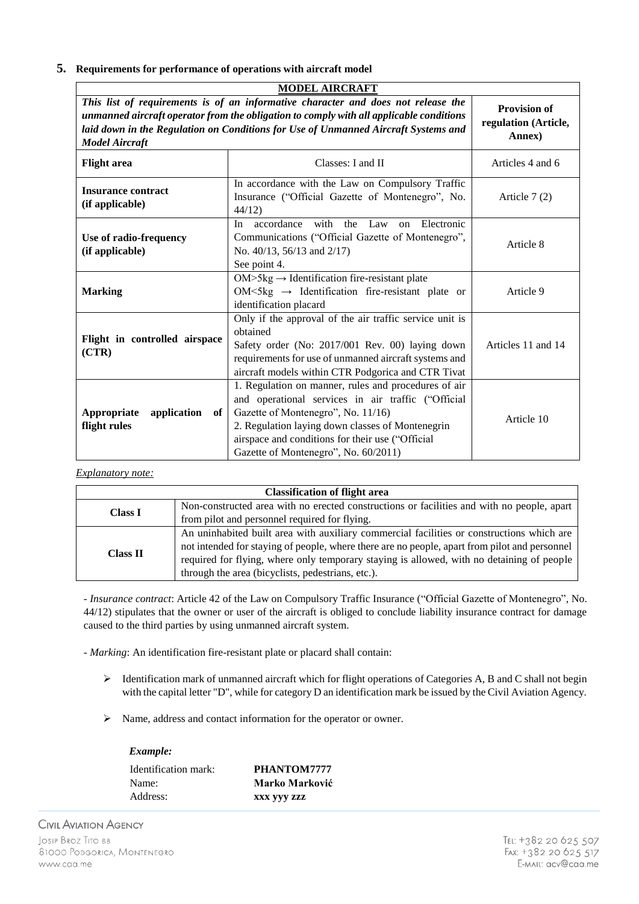# **5. Requirements for performance of operations with aircraft model**

| <b>MODEL AIRCRAFT</b>                                                                                                                                                                                                                                                                       |                                                                                                                                                                                                                                                                                                  |                    |  |  |
|---------------------------------------------------------------------------------------------------------------------------------------------------------------------------------------------------------------------------------------------------------------------------------------------|--------------------------------------------------------------------------------------------------------------------------------------------------------------------------------------------------------------------------------------------------------------------------------------------------|--------------------|--|--|
| This list of requirements is of an informative character and does not release the<br>unmanned aircraft operator from the obligation to comply with all applicable conditions<br>laid down in the Regulation on Conditions for Use of Unmanned Aircraft Systems and<br><b>Model Aircraft</b> | <b>Provision of</b><br>regulation (Article,<br>Annex)                                                                                                                                                                                                                                            |                    |  |  |
| <b>Flight</b> area                                                                                                                                                                                                                                                                          | Classes: I and II                                                                                                                                                                                                                                                                                | Articles 4 and 6   |  |  |
| <b>Insurance contract</b><br>(if applicable)                                                                                                                                                                                                                                                | In accordance with the Law on Compulsory Traffic<br>Insurance ("Official Gazette of Montenegro", No.<br>44/12                                                                                                                                                                                    | Article $7(2)$     |  |  |
| Use of radio-frequency<br>(if applicable)                                                                                                                                                                                                                                                   | with<br>Electronic<br>accordance<br>the<br>Law<br>In.<br>on<br>Communications ("Official Gazette of Montenegro",<br>No. 40/13, 56/13 and 2/17)<br>See point 4.                                                                                                                                   | Article 8          |  |  |
| <b>Marking</b>                                                                                                                                                                                                                                                                              | $OM>5kg \rightarrow Identification$ fire-resistant plate<br>OM<5kg $\rightarrow$ Identification fire-resistant plate or<br>identification placard                                                                                                                                                | Article 9          |  |  |
| Flight in controlled airspace<br>(CTR)                                                                                                                                                                                                                                                      | Only if the approval of the air traffic service unit is<br>obtained<br>Safety order (No: 2017/001 Rev. 00) laying down<br>requirements for use of unmanned aircraft systems and<br>aircraft models within CTR Podgorica and CTR Tivat                                                            | Articles 11 and 14 |  |  |
| Appropriate<br>application<br>of<br>flight rules                                                                                                                                                                                                                                            | 1. Regulation on manner, rules and procedures of air<br>and operational services in air traffic ("Official<br>Gazette of Montenegro", No. 11/16)<br>2. Regulation laying down classes of Montenegrin<br>airspace and conditions for their use ("Official<br>Gazette of Montenegro", No. 60/2011) | Article 10         |  |  |

#### *Explanatory note:*

| <b>Classification of flight area</b> |                                                                                               |  |  |
|--------------------------------------|-----------------------------------------------------------------------------------------------|--|--|
| <b>Class I</b>                       | Non-constructed area with no erected constructions or facilities and with no people, apart    |  |  |
|                                      | from pilot and personnel required for flying.                                                 |  |  |
|                                      | An uninhabited built area with auxiliary commercial facilities or constructions which are     |  |  |
| <b>Class II</b>                      | not intended for staying of people, where there are no people, apart from pilot and personnel |  |  |
|                                      | required for flying, where only temporary staying is allowed, with no detaining of people     |  |  |
|                                      | through the area (bicyclists, pedestrians, etc.).                                             |  |  |

- *Insurance contract*: Article 42 of the Law on Compulsory Traffic Insurance ("Official Gazette of Montenegro", No. 44/12) stipulates that the owner or user of the aircraft is obliged to conclude liability insurance contract for damage caused to the third parties by using unmanned aircraft system.

- *Marking*: An identification fire-resistant plate or placard shall contain:

- Identification mark of unmanned aircraft which for flight operations of Categories A, B and C shall not begin with the capital letter "D", while for category D an identification mark be issued by the Civil Aviation Agency.
- Name, address and contact information for the operator or owner.

# *Example:*

| Identification mark: | PHANTOM7777    |
|----------------------|----------------|
| Name:                | Marko Marković |
| Address:             | XXX VVV ZZZ    |

**CIVIL AVIATION AGENCY** JOSIP BROZ TITO BB 81000 PODGORICA, MONTENEGRO www.caa.me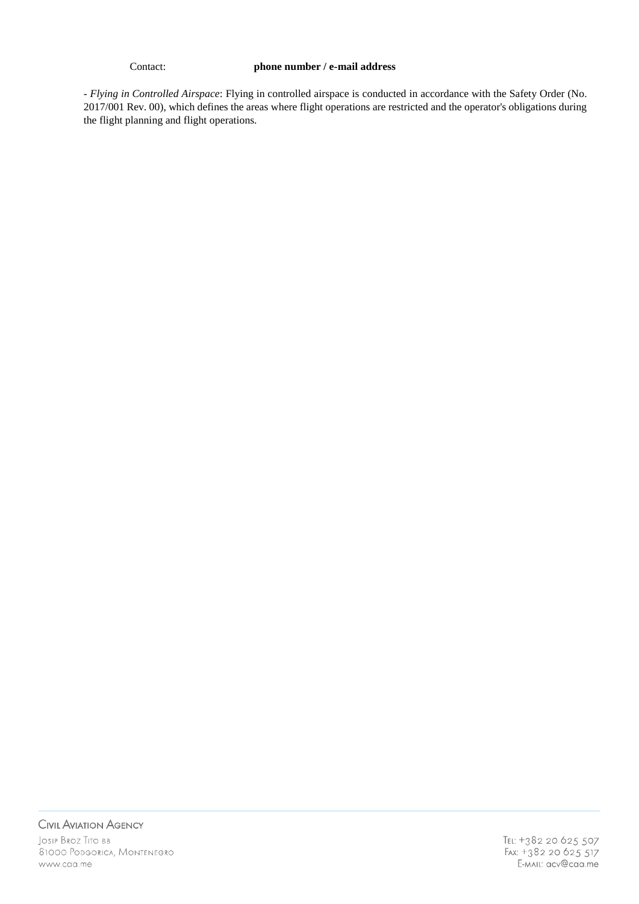#### Contact: **phone number / e-mail address**

- *Flying in Controlled Airspace*: Flying in controlled airspace is conducted in accordance with the Safety Order (No. 2017/001 Rev. 00), which defines the areas where flight operations are restricted and the operator's obligations during the flight planning and flight operations.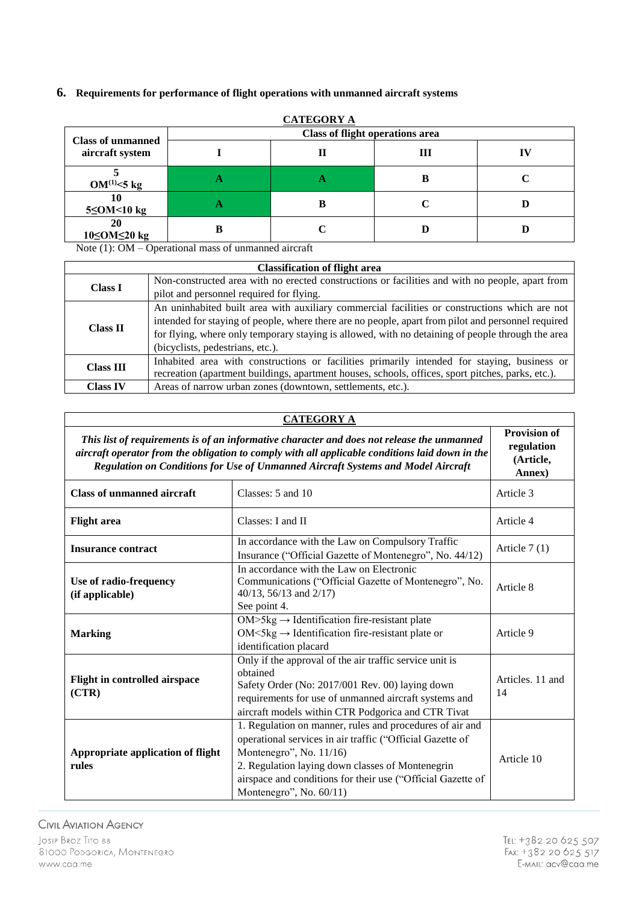# **6. Requirements for performance of flight operations with unmanned aircraft systems**

| <b>Class of unmanned</b> | <u>CATEGORY A</u><br><b>Class of flight operations area</b> |   |   |    |
|--------------------------|-------------------------------------------------------------|---|---|----|
| aircraft system          |                                                             |   | Ш | TV |
| $OM^{(1)} \leq 5$ kg     |                                                             | Ð | В |    |
| 10<br>$5 \leq$ OM<10 kg  |                                                             |   |   |    |
| 20<br>10≤OM≤20 kg        |                                                             |   |   |    |

**CATEGORY A**

Note (1): OM – Operational mass of unmanned aircraft

| <b>Classification of flight area</b> |                                                                                                    |  |
|--------------------------------------|----------------------------------------------------------------------------------------------------|--|
|                                      | Non-constructed area with no erected constructions or facilities and with no people, apart from    |  |
| <b>Class I</b>                       | pilot and personnel required for flying.                                                           |  |
|                                      | An uninhabited built area with auxiliary commercial facilities or constructions which are not      |  |
| <b>Class II</b>                      | intended for staying of people, where there are no people, apart from pilot and personnel required |  |
|                                      | for flying, where only temporary staying is allowed, with no detaining of people through the area  |  |
|                                      | (bicyclists, pedestrians, etc.).                                                                   |  |
| <b>Class III</b>                     | Inhabited area with constructions or facilities primarily intended for staying, business or        |  |
|                                      | recreation (apartment buildings, apartment houses, schools, offices, sport pitches, parks, etc.).  |  |
| <b>Class IV</b>                      | Areas of narrow urban zones (downtown, settlements, etc.).                                         |  |

# **CATEGORY A**

*This list of requirements is of an informative character and does not release the unmanned aircraft operator from the obligation to comply with all applicable conditions laid down in the Regulation on Conditions for Use of Unmanned Aircraft Systems and Model Aircraft*  **Provision of regulation (Article, Annex) Class of unmanned aircraft** Classes: 5 and 10 Article 3 **Flight area** Classes: I and II Classes: **I** and II Article 4 **Insurance contract** In accordance with the Law on Compulsory Traffic In accordance with the Law on Compussory Frame<br>Insurance ("Official Gazette of Montenegro", No.  $44/12$ )  $\left[$  Article 7 (1) **Use of radio-frequency (if applicable)** In accordance with the Law on Electronic Communications ("Official Gazette of Montenegro", No. 40/13, 56/13 and 2/17) See point 4. Article 8 **Marking**  $OM > 5kg \rightarrow Identification$  fire-resistant plate  $OM<5kg \rightarrow Identification$  fire-resistant plate or identification placard Article 9 **Flight in controlled airspace (CTR)** Only if the approval of the air traffic service unit is obtained Safety Order (No: 2017/001 Rev. 00) laying down requirements for use of unmanned aircraft systems and aircraft models within CTR Podgorica and CTR Tivat Articles. 11 and 14 **Appropriate application of flight rules** 1. Regulation on manner, rules and procedures of air and operational services in air traffic ("Official Gazette of Montenegro", No. 11/16) 2. Regulation laying down classes of Montenegrin airspace and conditions for their use ("Official Gazette of Montenegro", No. 60/11) Article 10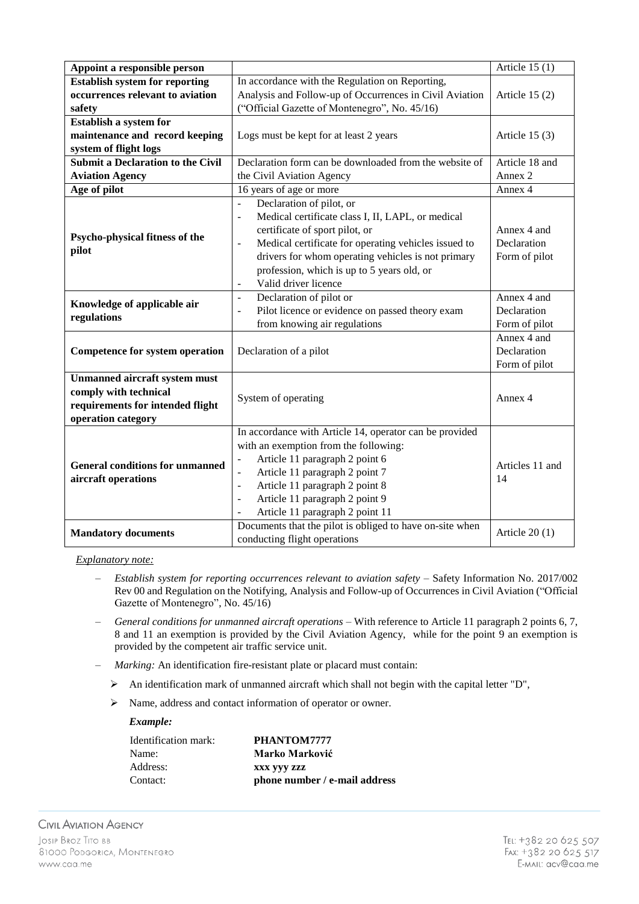| Appoint a responsible person                                                                                            |                                                                                                                                                                                                                                                                                                                                                                                          | Article $15(1)$                             |
|-------------------------------------------------------------------------------------------------------------------------|------------------------------------------------------------------------------------------------------------------------------------------------------------------------------------------------------------------------------------------------------------------------------------------------------------------------------------------------------------------------------------------|---------------------------------------------|
| <b>Establish system for reporting</b>                                                                                   | In accordance with the Regulation on Reporting,                                                                                                                                                                                                                                                                                                                                          |                                             |
| occurrences relevant to aviation                                                                                        | Analysis and Follow-up of Occurrences in Civil Aviation                                                                                                                                                                                                                                                                                                                                  | Article $15(2)$                             |
| safety                                                                                                                  | ("Official Gazette of Montenegro", No. 45/16)                                                                                                                                                                                                                                                                                                                                            |                                             |
| <b>Establish a system for</b>                                                                                           |                                                                                                                                                                                                                                                                                                                                                                                          |                                             |
| maintenance and record keeping                                                                                          | Logs must be kept for at least 2 years                                                                                                                                                                                                                                                                                                                                                   | Article $15(3)$                             |
| system of flight logs                                                                                                   |                                                                                                                                                                                                                                                                                                                                                                                          |                                             |
| <b>Submit a Declaration to the Civil</b>                                                                                | Declaration form can be downloaded from the website of                                                                                                                                                                                                                                                                                                                                   | Article 18 and                              |
| <b>Aviation Agency</b>                                                                                                  | the Civil Aviation Agency                                                                                                                                                                                                                                                                                                                                                                | Annex 2                                     |
| Age of pilot                                                                                                            | 16 years of age or more                                                                                                                                                                                                                                                                                                                                                                  | Annex 4                                     |
| Psycho-physical fitness of the<br>pilot                                                                                 | Declaration of pilot, or<br>$\frac{1}{2}$<br>Medical certificate class I, II, LAPL, or medical<br>$\blacksquare$<br>certificate of sport pilot, or<br>Medical certificate for operating vehicles issued to<br>$\overline{\phantom{a}}$<br>drivers for whom operating vehicles is not primary<br>profession, which is up to 5 years old, or<br>Valid driver licence<br>$\blacksquare$     | Annex 4 and<br>Declaration<br>Form of pilot |
| Knowledge of applicable air<br>regulations                                                                              | Declaration of pilot or<br>$\overline{a}$<br>Pilot licence or evidence on passed theory exam<br>÷,<br>from knowing air regulations                                                                                                                                                                                                                                                       | Annex 4 and<br>Declaration<br>Form of pilot |
| <b>Competence for system operation</b>                                                                                  | Declaration of a pilot                                                                                                                                                                                                                                                                                                                                                                   | Annex 4 and<br>Declaration<br>Form of pilot |
| <b>Unmanned aircraft system must</b><br>comply with technical<br>requirements for intended flight<br>operation category | System of operating                                                                                                                                                                                                                                                                                                                                                                      | Annex 4                                     |
| <b>General conditions for unmanned</b><br>aircraft operations                                                           | In accordance with Article 14, operator can be provided<br>with an exemption from the following:<br>Article 11 paragraph 2 point 6<br>$\blacksquare$<br>Article 11 paragraph 2 point 7<br>$\overline{\phantom{a}}$<br>Article 11 paragraph 2 point 8<br>$\overline{\phantom{a}}$<br>Article 11 paragraph 2 point 9<br>$\overline{a}$<br>Article 11 paragraph 2 point 11<br>$\frac{1}{2}$ | Articles 11 and<br>14                       |
| <b>Mandatory documents</b>                                                                                              | Documents that the pilot is obliged to have on-site when<br>conducting flight operations                                                                                                                                                                                                                                                                                                 | Article $20(1)$                             |

- ‒ *Establish system for reporting occurrences relevant to aviation safety* Safety Information No. 2017/002 Rev 00 and Regulation on the Notifying, Analysis and Follow-up of Occurrences in Civil Aviation ("Official Gazette of Montenegro", No. 45/16)
- ‒ *General conditions for unmanned aircraft operations* With reference to Article 11 paragraph 2 points 6, 7, 8 and 11 an exemption is provided by the Civil Aviation Agency, while for the point 9 an exemption is provided by the competent air traffic service unit.
- ‒ *Marking:* An identification fire-resistant plate or placard must contain:
	- $\triangleright$  An identification mark of unmanned aircraft which shall not begin with the capital letter "D",
	- Name, address and contact information of operator or owner.

| Identification mark: | PHANTOM7777                   |
|----------------------|-------------------------------|
| Name:                | Marko Marković                |
| Address:             | XXX VVV ZZZ                   |
| Contact:             | phone number / e-mail address |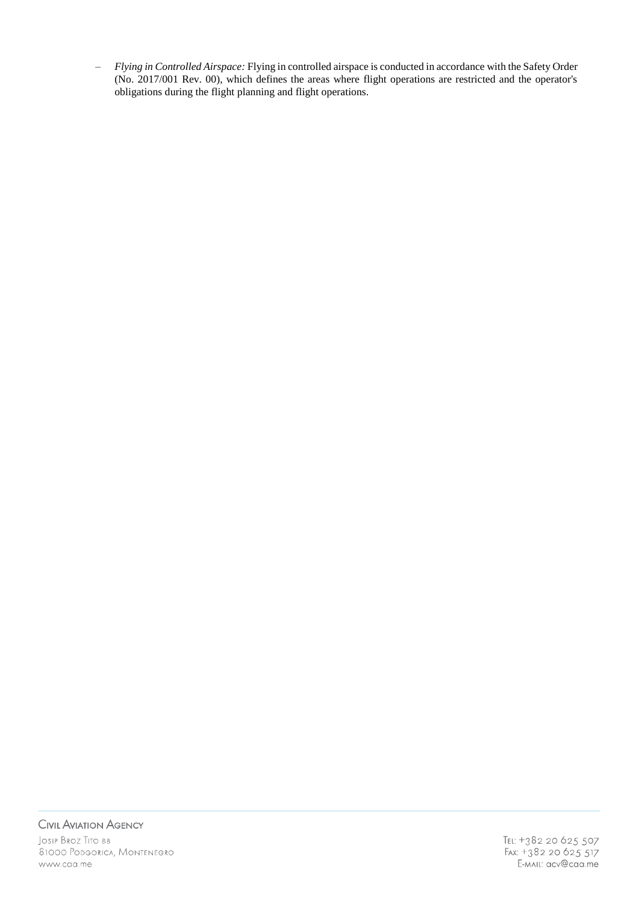‒ *Flying in Controlled Airspace:* Flying in controlled airspace is conducted in accordance with the Safety Order (No. 2017/001 Rev. 00), which defines the areas where flight operations are restricted and the operator's obligations during the flight planning and flight operations.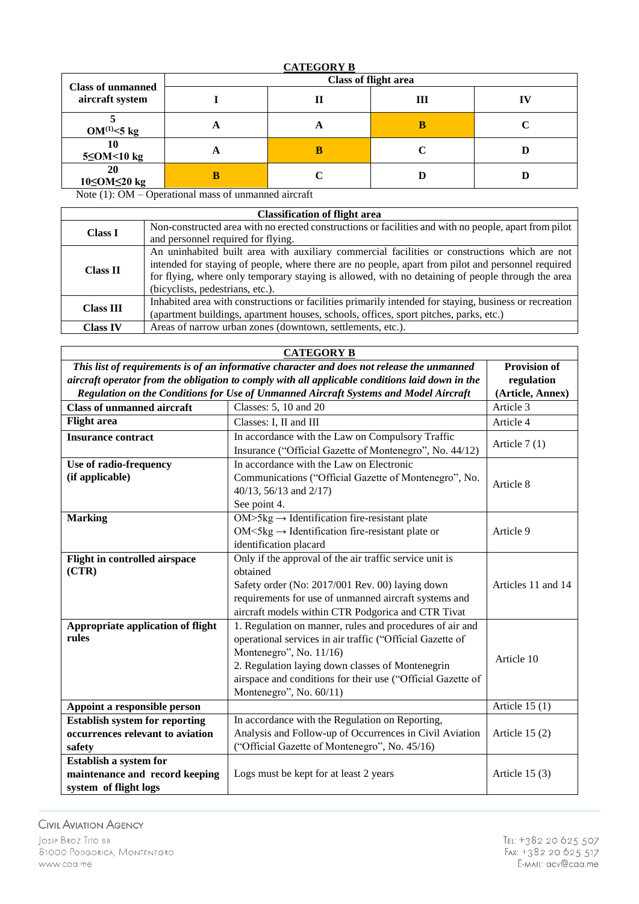| <b>Class of unmanned</b> | <b>Class of flight area</b> |   |   |  |
|--------------------------|-----------------------------|---|---|--|
| aircraft system          |                             |   | Ш |  |
| $OM^{(1)} \leq 5$ kg     | Ħ                           | o |   |  |
| $5 \leq$ OM<10 kg        | Ħ                           |   |   |  |
| <b>20</b><br>10≤OM≤20 kg | В                           |   |   |  |

Note (1): OM – Operational mass of unmanned aircraft

| <b>Classification of flight area</b> |                                                                                                        |  |
|--------------------------------------|--------------------------------------------------------------------------------------------------------|--|
| <b>Class I</b>                       | Non-constructed area with no erected constructions or facilities and with no people, apart from pilot  |  |
|                                      | and personnel required for flying.                                                                     |  |
|                                      | An uninhabited built area with auxiliary commercial facilities or constructions which are not          |  |
| <b>Class II</b>                      | intended for staying of people, where there are no people, apart from pilot and personnel required     |  |
|                                      | for flying, where only temporary staying is allowed, with no detaining of people through the area      |  |
|                                      | (bicyclists, pedestrians, etc.).                                                                       |  |
| <b>Class III</b>                     | Inhabited area with constructions or facilities primarily intended for staying, business or recreation |  |
|                                      | (apartment buildings, apartment houses, schools, offices, sport pitches, parks, etc.)                  |  |
| <b>Class IV</b>                      | Areas of narrow urban zones (downtown, settlements, etc.).                                             |  |

| <b>CATEGORY B</b>                                                                                                 |                                                                       |                 |  |  |
|-------------------------------------------------------------------------------------------------------------------|-----------------------------------------------------------------------|-----------------|--|--|
| This list of requirements is of an informative character and does not release the unmanned<br><b>Provision of</b> |                                                                       |                 |  |  |
| aircraft operator from the obligation to comply with all applicable conditions laid down in the                   | regulation                                                            |                 |  |  |
| Regulation on the Conditions for Use of Unmanned Aircraft Systems and Model Aircraft                              | (Article, Annex)                                                      |                 |  |  |
| <b>Class of unmanned aircraft</b>                                                                                 | Classes: 5, 10 and 20                                                 | Article 3       |  |  |
| <b>Flight</b> area                                                                                                | Classes: I, II and III                                                | Article 4       |  |  |
| <b>Insurance contract</b>                                                                                         | In accordance with the Law on Compulsory Traffic                      |                 |  |  |
|                                                                                                                   | Insurance ("Official Gazette of Montenegro", No. 44/12)               | Article $7(1)$  |  |  |
| Use of radio-frequency                                                                                            | In accordance with the Law on Electronic                              |                 |  |  |
| (if applicable)                                                                                                   | Communications ("Official Gazette of Montenegro", No.                 | Article 8       |  |  |
|                                                                                                                   | 40/13, 56/13 and 2/17)                                                |                 |  |  |
|                                                                                                                   | See point 4.                                                          |                 |  |  |
| <b>Marking</b>                                                                                                    | $OM>5kg \rightarrow Identification$ fire-resistant plate              |                 |  |  |
|                                                                                                                   | $OM < 5kg \rightarrow Identification$ fire-resistant plate or         | Article 9       |  |  |
|                                                                                                                   | identification placard                                                |                 |  |  |
| Flight in controlled airspace                                                                                     | Only if the approval of the air traffic service unit is               |                 |  |  |
| (CTR)                                                                                                             | obtained                                                              |                 |  |  |
|                                                                                                                   | Safety order (No: 2017/001 Rev. 00) laying down<br>Articles 11 and 14 |                 |  |  |
|                                                                                                                   | requirements for use of unmanned aircraft systems and                 |                 |  |  |
|                                                                                                                   | aircraft models within CTR Podgorica and CTR Tivat                    |                 |  |  |
| Appropriate application of flight                                                                                 | 1. Regulation on manner, rules and procedures of air and              |                 |  |  |
| rules                                                                                                             | operational services in air traffic ("Official Gazette of             |                 |  |  |
|                                                                                                                   | Montenegro", No. 11/16)                                               | Article 10      |  |  |
|                                                                                                                   | 2. Regulation laying down classes of Montenegrin                      |                 |  |  |
|                                                                                                                   | airspace and conditions for their use ("Official Gazette of           |                 |  |  |
|                                                                                                                   | Montenegro", No. 60/11)                                               |                 |  |  |
| Appoint a responsible person                                                                                      |                                                                       | Article $15(1)$ |  |  |
| <b>Establish system for reporting</b>                                                                             | In accordance with the Regulation on Reporting,                       |                 |  |  |
| occurrences relevant to aviation                                                                                  | Analysis and Follow-up of Occurrences in Civil Aviation               | Article $15(2)$ |  |  |
| safety                                                                                                            | ("Official Gazette of Montenegro", No. 45/16)                         |                 |  |  |
| Establish a system for                                                                                            |                                                                       |                 |  |  |
| maintenance and record keeping                                                                                    | Logs must be kept for at least 2 years                                | Article $15(3)$ |  |  |
| system of flight logs                                                                                             |                                                                       |                 |  |  |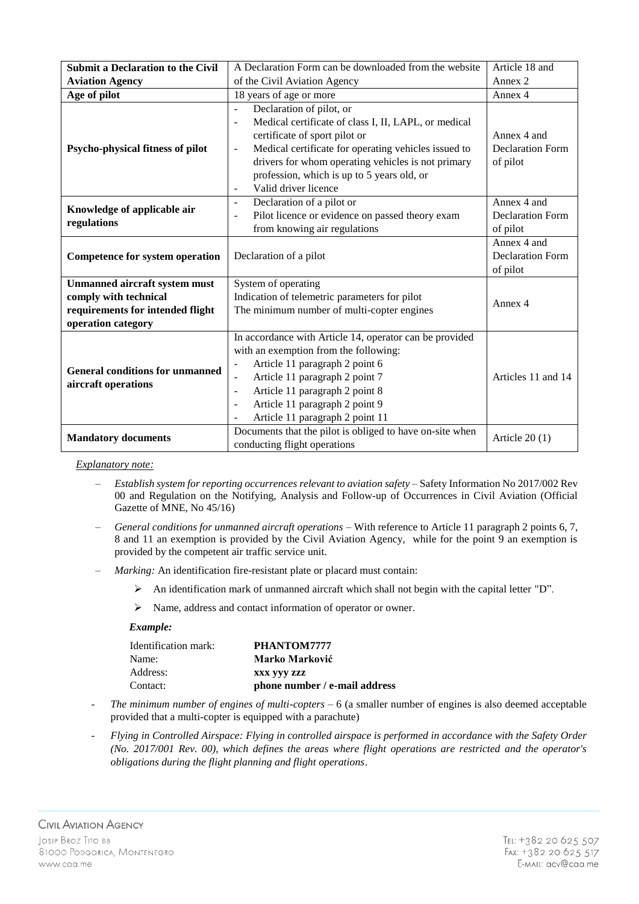| <b>Submit a Declaration to the Civil</b>                                                                                | A Declaration Form can be downloaded from the website                                                                                                                                                                                                                                                                                                | Article 18 and                                     |
|-------------------------------------------------------------------------------------------------------------------------|------------------------------------------------------------------------------------------------------------------------------------------------------------------------------------------------------------------------------------------------------------------------------------------------------------------------------------------------------|----------------------------------------------------|
| <b>Aviation Agency</b>                                                                                                  | of the Civil Aviation Agency                                                                                                                                                                                                                                                                                                                         | Annex 2                                            |
| Age of pilot                                                                                                            | 18 years of age or more                                                                                                                                                                                                                                                                                                                              | Annex 4                                            |
| Psycho-physical fitness of pilot                                                                                        | Declaration of pilot, or<br>$\frac{1}{2}$<br>Medical certificate of class I, II, LAPL, or medical<br>Ĭ.<br>certificate of sport pilot or<br>Medical certificate for operating vehicles issued to<br>$\overline{a}$<br>drivers for whom operating vehicles is not primary<br>profession, which is up to 5 years old, or<br>Valid driver licence<br>Ē, | Annex 4 and<br><b>Declaration Form</b><br>of pilot |
| Knowledge of applicable air<br>regulations                                                                              | Declaration of a pilot or<br>$\overline{a}$<br>Pilot licence or evidence on passed theory exam<br>L,<br>from knowing air regulations                                                                                                                                                                                                                 | Annex 4 and<br><b>Declaration Form</b><br>of pilot |
| <b>Competence for system operation</b>                                                                                  | Declaration of a pilot                                                                                                                                                                                                                                                                                                                               | Annex 4 and<br><b>Declaration Form</b><br>of pilot |
| <b>Unmanned aircraft system must</b><br>comply with technical<br>requirements for intended flight<br>operation category | System of operating<br>Indication of telemetric parameters for pilot<br>The minimum number of multi-copter engines                                                                                                                                                                                                                                   | Annex 4                                            |
| <b>General conditions for unmanned</b><br>aircraft operations                                                           | In accordance with Article 14, operator can be provided<br>with an exemption from the following:<br>Article 11 paragraph 2 point 6<br>$\blacksquare$<br>Article 11 paragraph 2 point 7<br>Article 11 paragraph 2 point 8<br>$\overline{\phantom{m}}$<br>Article 11 paragraph 2 point 9<br>Ē,<br>Article 11 paragraph 2 point 11                      | Articles 11 and 14                                 |
| <b>Mandatory documents</b>                                                                                              | Documents that the pilot is obliged to have on-site when<br>conducting flight operations                                                                                                                                                                                                                                                             | Article $20(1)$                                    |

- ‒ *Establish system for reporting occurrences relevant to aviation safety* Safety Information No 2017/002 Rev 00 and Regulation on the Notifying, Analysis and Follow-up of Occurrences in Civil Aviation (Official Gazette of MNE, No 45/16)
- ‒ *General conditions for unmanned aircraft operations* With reference to Article 11 paragraph 2 points 6, 7, 8 and 11 an exemption is provided by the Civil Aviation Agency, while for the point 9 an exemption is provided by the competent air traffic service unit.
- ‒ *Marking:* An identification fire-resistant plate or placard must contain:
	- $\triangleright$  An identification mark of unmanned aircraft which shall not begin with the capital letter "D".
	- Name, address and contact information of operator or owner.

| Identification mark: | PHANTOM7777                   |
|----------------------|-------------------------------|
| Name:                | Marko Marković                |
| Address:             | XXX VVV ZZZ                   |
| Contact:             | phone number / e-mail address |

- *The minimum number of engines of multi-copters* 6 (a smaller number of engines is also deemed acceptable provided that a multi-copter is equipped with a parachute)
- *Flying in Controlled Airspace: Flying in controlled airspace is performed in accordance with the Safety Order (No. 2017/001 Rev. 00), which defines the areas where flight operations are restricted and the operator's obligations during the flight planning and flight operations*.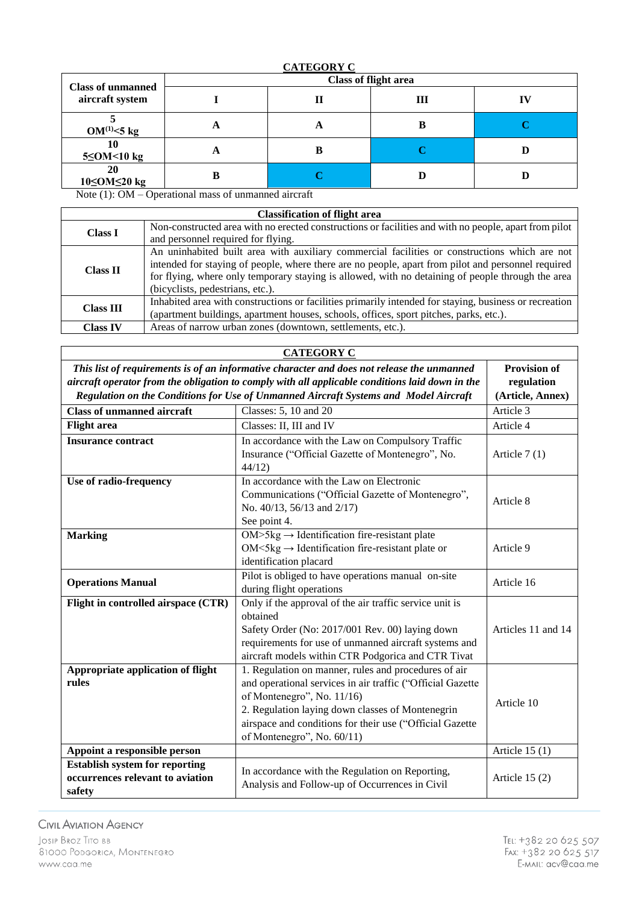| <b>Class of unmanned</b> |   |   | <b>Class of flight area</b> |  |
|--------------------------|---|---|-----------------------------|--|
| aircraft system          |   |   | Ш                           |  |
| $OM^{(1)} < 5$ kg        | A | o |                             |  |
| 10<br>$5 \leq$ OM<10 kg  | A |   |                             |  |
| 20<br>10≤OM≤20 kg        |   |   | D                           |  |

Note (1): OM – Operational mass of unmanned aircraft

| <b>Classification of flight area</b> |                                                                                                        |  |
|--------------------------------------|--------------------------------------------------------------------------------------------------------|--|
| <b>Class I</b>                       | Non-constructed area with no erected constructions or facilities and with no people, apart from pilot  |  |
|                                      | and personnel required for flying.                                                                     |  |
|                                      | An uninhabited built area with auxiliary commercial facilities or constructions which are not          |  |
| <b>Class II</b>                      | intended for staying of people, where there are no people, apart from pilot and personnel required     |  |
|                                      | for flying, where only temporary staying is allowed, with no detaining of people through the area      |  |
|                                      | (bicyclists, pedestrians, etc.).                                                                       |  |
| <b>Class III</b>                     | Inhabited area with constructions or facilities primarily intended for staying, business or recreation |  |
|                                      | (apartment buildings, apartment houses, schools, offices, sport pitches, parks, etc.).                 |  |
| <b>Class IV</b>                      | Areas of narrow urban zones (downtown, settlements, etc.).                                             |  |

| <b>CATEGORY C</b>                                                                                                 |                                                                                                                                                                                                                                                                                                |                    |
|-------------------------------------------------------------------------------------------------------------------|------------------------------------------------------------------------------------------------------------------------------------------------------------------------------------------------------------------------------------------------------------------------------------------------|--------------------|
| This list of requirements is of an informative character and does not release the unmanned<br><b>Provision of</b> |                                                                                                                                                                                                                                                                                                |                    |
| aircraft operator from the obligation to comply with all applicable conditions laid down in the                   |                                                                                                                                                                                                                                                                                                | regulation         |
| Regulation on the Conditions for Use of Unmanned Aircraft Systems and Model Aircraft                              |                                                                                                                                                                                                                                                                                                | (Article, Annex)   |
| <b>Class of unmanned aircraft</b>                                                                                 | Classes: 5, 10 and 20                                                                                                                                                                                                                                                                          | Article 3          |
| <b>Flight</b> area                                                                                                | Classes: II, III and IV                                                                                                                                                                                                                                                                        | Article 4          |
| <b>Insurance contract</b>                                                                                         | In accordance with the Law on Compulsory Traffic<br>Insurance ("Official Gazette of Montenegro", No.<br>44/12                                                                                                                                                                                  | Article $7(1)$     |
| Use of radio-frequency                                                                                            | In accordance with the Law on Electronic<br>Communications ("Official Gazette of Montenegro",<br>No. 40/13, 56/13 and 2/17)<br>See point 4.                                                                                                                                                    | Article 8          |
| <b>Marking</b>                                                                                                    | $OM>5kg \rightarrow Identification$ fire-resistant plate<br>$OM < 5kg \rightarrow Identification$ fire-resistant plate or<br>identification placard                                                                                                                                            | Article 9          |
| <b>Operations Manual</b>                                                                                          | Pilot is obliged to have operations manual on-site<br>during flight operations                                                                                                                                                                                                                 | Article 16         |
| Flight in controlled airspace (CTR)                                                                               | Only if the approval of the air traffic service unit is<br>obtained<br>Safety Order (No: 2017/001 Rev. 00) laying down<br>requirements for use of unmanned aircraft systems and<br>aircraft models within CTR Podgorica and CTR Tivat                                                          | Articles 11 and 14 |
| Appropriate application of flight<br>rules                                                                        | 1. Regulation on manner, rules and procedures of air<br>and operational services in air traffic ("Official Gazette<br>of Montenegro", No. 11/16)<br>2. Regulation laying down classes of Montenegrin<br>airspace and conditions for their use ("Official Gazette<br>of Montenegro", No. 60/11) | Article 10         |
| Appoint a responsible person                                                                                      |                                                                                                                                                                                                                                                                                                | Article $15(1)$    |
| <b>Establish system for reporting</b><br>occurrences relevant to aviation<br>safety                               | In accordance with the Regulation on Reporting,<br>Analysis and Follow-up of Occurrences in Civil                                                                                                                                                                                              | Article $15(2)$    |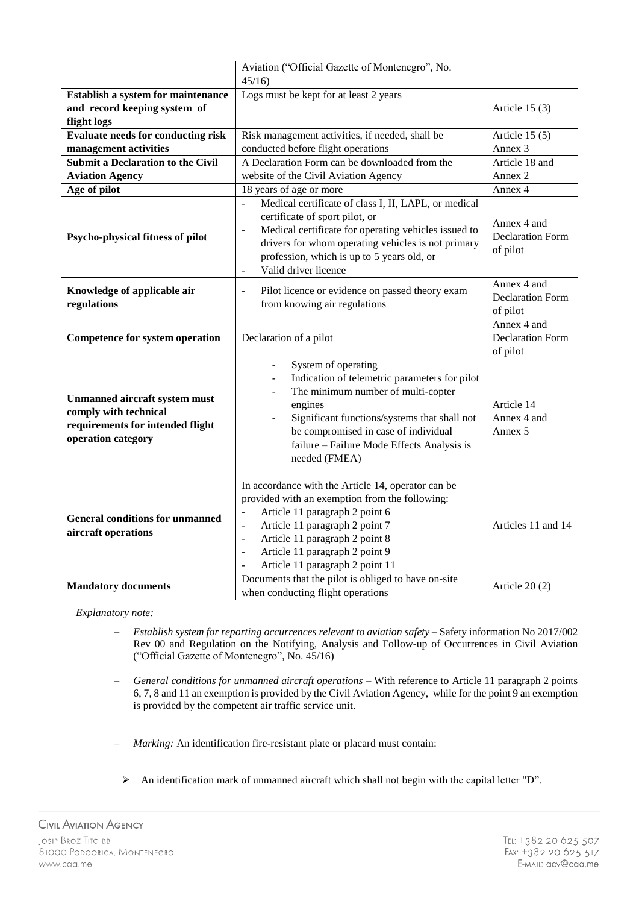|                                                                                                                         | Aviation ("Official Gazette of Montenegro", No.                                                                                                                                                                                                                                                                                                   |                                                    |
|-------------------------------------------------------------------------------------------------------------------------|---------------------------------------------------------------------------------------------------------------------------------------------------------------------------------------------------------------------------------------------------------------------------------------------------------------------------------------------------|----------------------------------------------------|
|                                                                                                                         | 45/16                                                                                                                                                                                                                                                                                                                                             |                                                    |
| Establish a system for maintenance<br>and record keeping system of<br>flight logs                                       | Logs must be kept for at least 2 years                                                                                                                                                                                                                                                                                                            | Article $15(3)$                                    |
| <b>Evaluate needs for conducting risk</b>                                                                               | Risk management activities, if needed, shall be                                                                                                                                                                                                                                                                                                   | Article $15(5)$                                    |
| management activities                                                                                                   | conducted before flight operations                                                                                                                                                                                                                                                                                                                | Annex <sub>3</sub>                                 |
| <b>Submit a Declaration to the Civil</b>                                                                                | A Declaration Form can be downloaded from the                                                                                                                                                                                                                                                                                                     | Article 18 and                                     |
| <b>Aviation Agency</b>                                                                                                  | website of the Civil Aviation Agency                                                                                                                                                                                                                                                                                                              | Annex 2                                            |
| Age of pilot                                                                                                            | 18 years of age or more                                                                                                                                                                                                                                                                                                                           | Annex 4                                            |
| Psycho-physical fitness of pilot                                                                                        | Medical certificate of class I, II, LAPL, or medical<br>$\overline{a}$<br>certificate of sport pilot, or<br>Medical certificate for operating vehicles issued to<br>$\overline{\phantom{a}}$<br>drivers for whom operating vehicles is not primary<br>profession, which is up to 5 years old, or<br>Valid driver licence<br>$\blacksquare$        | Annex 4 and<br><b>Declaration Form</b><br>of pilot |
| Knowledge of applicable air<br>regulations                                                                              | Pilot licence or evidence on passed theory exam<br>$\Box$<br>from knowing air regulations                                                                                                                                                                                                                                                         | Annex 4 and<br><b>Declaration Form</b><br>of pilot |
| <b>Competence for system operation</b>                                                                                  | Declaration of a pilot                                                                                                                                                                                                                                                                                                                            | Annex 4 and<br><b>Declaration Form</b><br>of pilot |
| <b>Unmanned aircraft system must</b><br>comply with technical<br>requirements for intended flight<br>operation category | System of operating<br>$\overline{a}$<br>Indication of telemetric parameters for pilot<br>The minimum number of multi-copter<br>engines<br>Significant functions/systems that shall not<br>be compromised in case of individual<br>failure - Failure Mode Effects Analysis is<br>needed (FMEA)                                                    | Article 14<br>Annex 4 and<br>Annex 5               |
| <b>General conditions for unmanned</b><br>aircraft operations                                                           | In accordance with the Article 14, operator can be<br>provided with an exemption from the following:<br>Article 11 paragraph 2 point 6<br>Article 11 paragraph 2 point 7<br>$\Box$<br>Article 11 paragraph 2 point 8<br>$\overline{\phantom{a}}$<br>Article 11 paragraph 2 point 9<br>$\overline{\phantom{a}}$<br>Article 11 paragraph 2 point 11 | Articles 11 and 14                                 |
| <b>Mandatory documents</b>                                                                                              | Documents that the pilot is obliged to have on-site<br>when conducting flight operations                                                                                                                                                                                                                                                          | Article $20(2)$                                    |

- ‒ *Establish system for reporting occurrences relevant to aviation safety* Safety information No 2017/002 Rev 00 and Regulation on the Notifying, Analysis and Follow-up of Occurrences in Civil Aviation ("Official Gazette of Montenegro", No. 45/16)
- ‒ *General conditions for unmanned aircraft operations* With reference to Article 11 paragraph 2 points 6, 7, 8 and 11 an exemption is provided by the Civil Aviation Agency, while for the point 9 an exemption is provided by the competent air traffic service unit.
- ‒ *Marking:* An identification fire-resistant plate or placard must contain:
- An identification mark of unmanned aircraft which shall not begin with the capital letter "D".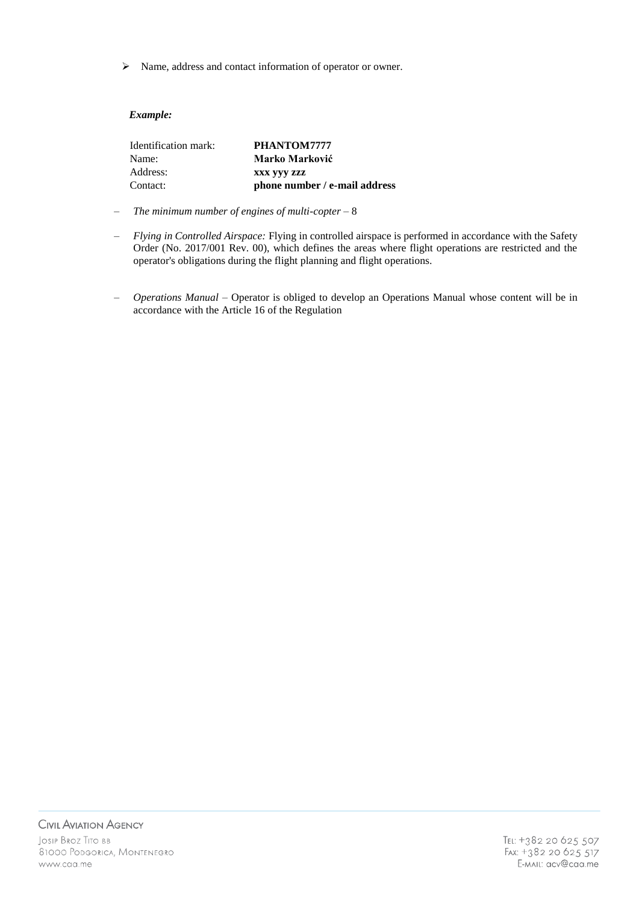Name, address and contact information of operator or owner.

| Identification mark: | PHANTOM7777                   |
|----------------------|-------------------------------|
| Name:                | Marko Marković                |
| Address:             | XXX VVV ZZZ                   |
| Contact:             | phone number / e-mail address |

- ‒ *The minimum number of engines of multi-copter*  8
- ‒ *Flying in Controlled Airspace:* Flying in controlled airspace is performed in accordance with the Safety Order (No. 2017/001 Rev. 00), which defines the areas where flight operations are restricted and the operator's obligations during the flight planning and flight operations.
- ‒ *Operations Manual –* Operator is obliged to develop an Operations Manual whose content will be in accordance with the Article 16 of the Regulation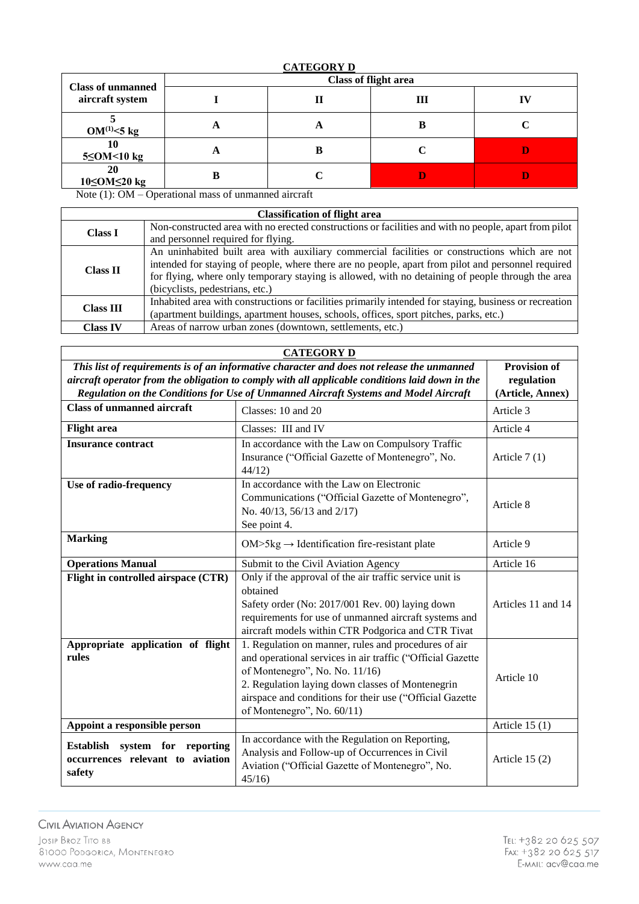# **CATEGORY D**

| <b>Class of unmanned</b> |   |   | <b>Class of flight area</b> |  |
|--------------------------|---|---|-----------------------------|--|
| aircraft system          |   |   | Ш                           |  |
| $OM^{(1)}<5$ kg          | A | o | В                           |  |
| 10<br>$5 \leq$ OM<10 kg  | A |   | C                           |  |
| 20<br>10≤OM≤20 kg        |   |   | D                           |  |

Note (1): OM – Operational mass of unmanned aircraft

| <b>Classification of flight area</b> |                                                                                                                                                                                                                                                                                                          |  |
|--------------------------------------|----------------------------------------------------------------------------------------------------------------------------------------------------------------------------------------------------------------------------------------------------------------------------------------------------------|--|
| <b>Class I</b>                       | Non-constructed area with no erected constructions or facilities and with no people, apart from pilot                                                                                                                                                                                                    |  |
|                                      | and personnel required for flying.                                                                                                                                                                                                                                                                       |  |
| <b>Class II</b>                      | An uninhabited built area with auxiliary commercial facilities or constructions which are not<br>intended for staying of people, where there are no people, apart from pilot and personnel required<br>for flying, where only temporary staying is allowed, with no detaining of people through the area |  |
|                                      | (bicyclists, pedestrians, etc.)                                                                                                                                                                                                                                                                          |  |
| <b>Class III</b>                     | Inhabited area with constructions or facilities primarily intended for staying, business or recreation                                                                                                                                                                                                   |  |
|                                      | (apartment buildings, apartment houses, schools, offices, sport pitches, parks, etc.)                                                                                                                                                                                                                    |  |
| <b>Class IV</b>                      | Areas of narrow urban zones (downtown, settlements, etc.)                                                                                                                                                                                                                                                |  |

| <b>CATEGORY D</b>                                                                                                 |                                                                                                                                                                                                                                                                                                    |                    |
|-------------------------------------------------------------------------------------------------------------------|----------------------------------------------------------------------------------------------------------------------------------------------------------------------------------------------------------------------------------------------------------------------------------------------------|--------------------|
| <b>Provision of</b><br>This list of requirements is of an informative character and does not release the unmanned |                                                                                                                                                                                                                                                                                                    |                    |
| aircraft operator from the obligation to comply with all applicable conditions laid down in the                   |                                                                                                                                                                                                                                                                                                    | regulation         |
|                                                                                                                   | Regulation on the Conditions for Use of Unmanned Aircraft Systems and Model Aircraft                                                                                                                                                                                                               | (Article, Annex)   |
| <b>Class of unmanned aircraft</b>                                                                                 | Classes: 10 and 20                                                                                                                                                                                                                                                                                 | Article 3          |
| <b>Flight</b> area                                                                                                | Classes: III and IV                                                                                                                                                                                                                                                                                | Article 4          |
| <b>Insurance contract</b>                                                                                         | In accordance with the Law on Compulsory Traffic<br>Insurance ("Official Gazette of Montenegro", No.<br>44/12                                                                                                                                                                                      | Article $7(1)$     |
| Use of radio-frequency                                                                                            | In accordance with the Law on Electronic<br>Communications ("Official Gazette of Montenegro",<br>No. 40/13, 56/13 and 2/17)<br>See point 4.                                                                                                                                                        | Article 8          |
| <b>Marking</b>                                                                                                    | $OM>5kg \rightarrow Identification$ fire-resistant plate                                                                                                                                                                                                                                           | Article 9          |
| <b>Operations Manual</b>                                                                                          | Submit to the Civil Aviation Agency                                                                                                                                                                                                                                                                | Article 16         |
| Flight in controlled airspace (CTR)                                                                               | Only if the approval of the air traffic service unit is<br>obtained<br>Safety order (No: 2017/001 Rev. 00) laying down<br>requirements for use of unmanned aircraft systems and<br>aircraft models within CTR Podgorica and CTR Tivat                                                              | Articles 11 and 14 |
| Appropriate application of flight<br>rules                                                                        | 1. Regulation on manner, rules and procedures of air<br>and operational services in air traffic ("Official Gazette<br>of Montenegro", No. No. 11/16)<br>2. Regulation laying down classes of Montenegrin<br>airspace and conditions for their use ("Official Gazette<br>of Montenegro", No. 60/11) | Article 10         |
| Appoint a responsible person                                                                                      |                                                                                                                                                                                                                                                                                                    | Article $15(1)$    |
| Establish system for reporting<br>occurrences relevant to aviation<br>safety                                      | In accordance with the Regulation on Reporting,<br>Analysis and Follow-up of Occurrences in Civil<br>Aviation ("Official Gazette of Montenegro", No.<br>45/16                                                                                                                                      | Article $15(2)$    |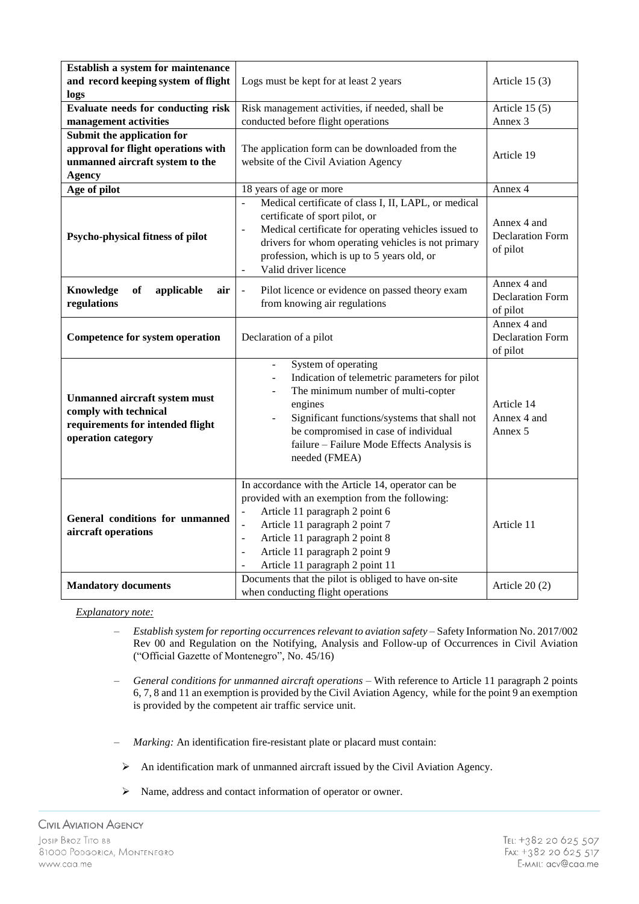| Establish a system for maintenance<br>and record keeping system of flight<br>logs                                       | Logs must be kept for at least 2 years                                                                                                                                                                                                                                                                                                               | Article $15(3)$                                    |
|-------------------------------------------------------------------------------------------------------------------------|------------------------------------------------------------------------------------------------------------------------------------------------------------------------------------------------------------------------------------------------------------------------------------------------------------------------------------------------------|----------------------------------------------------|
| Evaluate needs for conducting risk<br>management activities                                                             | Risk management activities, if needed, shall be<br>conducted before flight operations                                                                                                                                                                                                                                                                | Article $15(5)$<br>Annex <sub>3</sub>              |
| Submit the application for<br>approval for flight operations with<br>unmanned aircraft system to the<br><b>Agency</b>   | The application form can be downloaded from the<br>website of the Civil Aviation Agency                                                                                                                                                                                                                                                              | Article 19                                         |
| Age of pilot                                                                                                            | 18 years of age or more                                                                                                                                                                                                                                                                                                                              | Annex 4                                            |
| Psycho-physical fitness of pilot                                                                                        | Medical certificate of class I, II, LAPL, or medical<br>$\overline{a}$<br>certificate of sport pilot, or<br>Medical certificate for operating vehicles issued to<br>$\overline{\phantom{a}}$<br>drivers for whom operating vehicles is not primary<br>profession, which is up to 5 years old, or<br>Valid driver licence<br>$\overline{\phantom{a}}$ | Annex 4 and<br><b>Declaration Form</b><br>of pilot |
| Knowledge<br>of<br>applicable<br>air<br>regulations                                                                     | Pilot licence or evidence on passed theory exam<br>$\blacksquare$<br>from knowing air regulations                                                                                                                                                                                                                                                    | Annex 4 and<br><b>Declaration Form</b><br>of pilot |
| <b>Competence for system operation</b>                                                                                  | Declaration of a pilot                                                                                                                                                                                                                                                                                                                               | Annex 4 and<br><b>Declaration Form</b><br>of pilot |
| <b>Unmanned aircraft system must</b><br>comply with technical<br>requirements for intended flight<br>operation category | System of operating<br>$\frac{1}{2}$<br>Indication of telemetric parameters for pilot<br>The minimum number of multi-copter<br>engines<br>Significant functions/systems that shall not<br>be compromised in case of individual<br>failure - Failure Mode Effects Analysis is<br>needed (FMEA)                                                        | Article 14<br>Annex 4 and<br>Annex 5               |
| General conditions for unmanned<br>aircraft operations                                                                  | In accordance with the Article 14, operator can be<br>provided with an exemption from the following:<br>Article 11 paragraph 2 point 6<br>Article 11 paragraph 2 point 7<br>$\frac{1}{2}$<br>Article 11 paragraph 2 point 8<br>$\frac{1}{2}$<br>Article 11 paragraph 2 point 9<br>$\overline{\phantom{a}}$<br>Article 11 paragraph 2 point 11        | Article 11                                         |
| <b>Mandatory documents</b>                                                                                              | Documents that the pilot is obliged to have on-site<br>when conducting flight operations                                                                                                                                                                                                                                                             | Article $20(2)$                                    |

- ‒ *Establish system for reporting occurrences relevant to aviation safety* Safety Information No. 2017/002 Rev 00 and Regulation on the Notifying, Analysis and Follow-up of Occurrences in Civil Aviation ("Official Gazette of Montenegro", No. 45/16)
- ‒ *General conditions for unmanned aircraft operations* With reference to Article 11 paragraph 2 points 6, 7, 8 and 11 an exemption is provided by the Civil Aviation Agency, while for the point 9 an exemption is provided by the competent air traffic service unit.
- ‒ *Marking:* An identification fire-resistant plate or placard must contain:
- An identification mark of unmanned aircraft issued by the Civil Aviation Agency.
- Name, address and contact information of operator or owner.

**CIVIL AVIATION AGENCY** JOSIP BROZ TITO BB 81000 PODGORICA, MONTENEGRO www.caa.me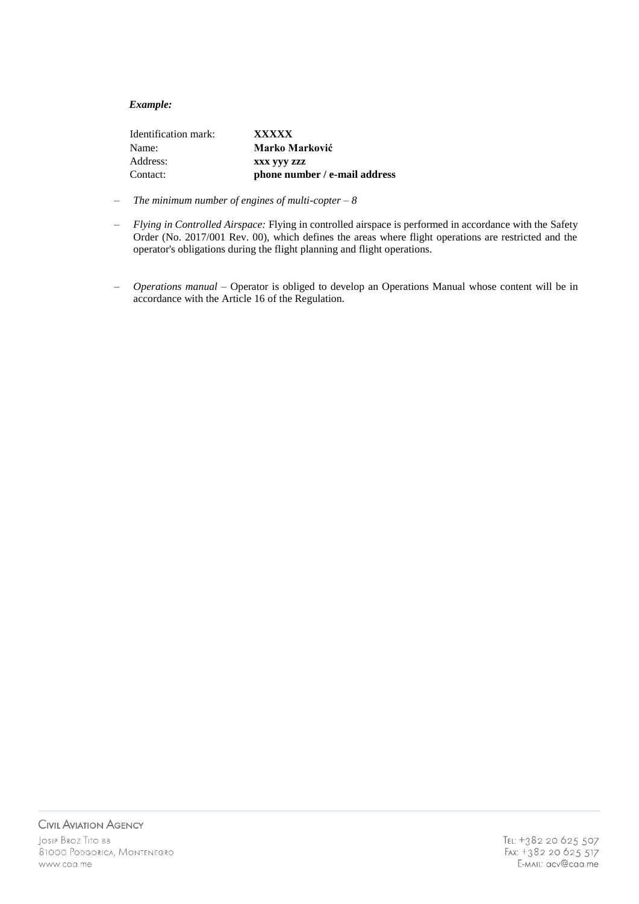| Identification mark: | <b>XXXXX</b>                  |
|----------------------|-------------------------------|
| Name:                | Marko Marković                |
| Address:             | XXX VVV ZZZ                   |
| Contact:             | phone number / e-mail address |

- ‒ *The minimum number of engines of multi-copter – 8*
- ‒ *Flying in Controlled Airspace:* Flying in controlled airspace is performed in accordance with the Safety Order (No. 2017/001 Rev. 00), which defines the areas where flight operations are restricted and the operator's obligations during the flight planning and flight operations.
- ‒ *Operations manual –* Operator is obliged to develop an Operations Manual whose content will be in accordance with the Article 16 of the Regulation.